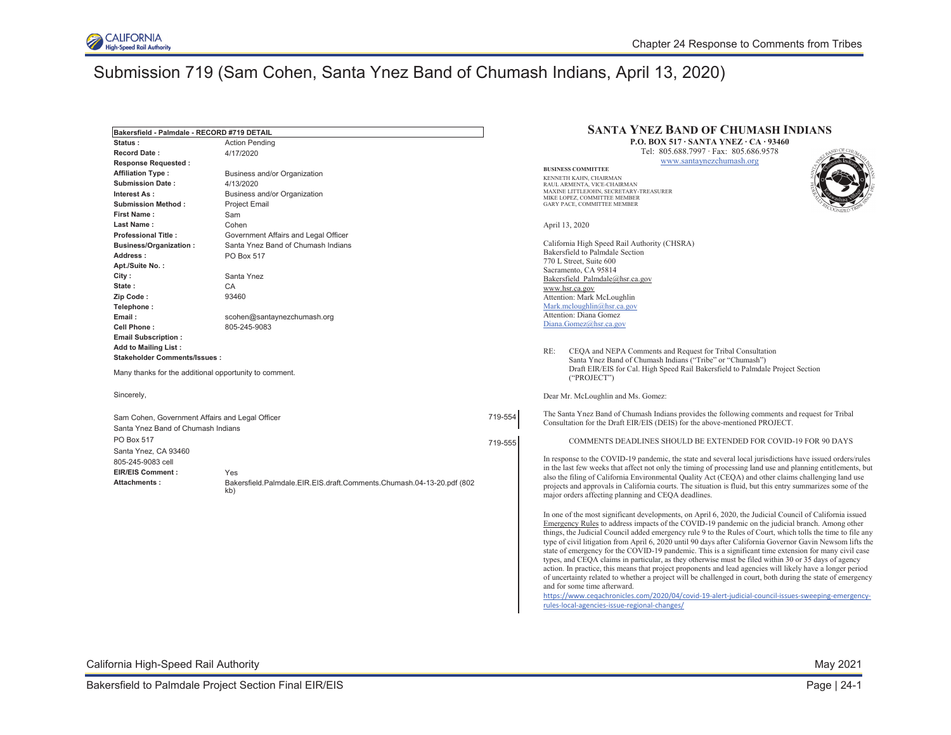

| Bakersfield - Palmdale - RECORD #719 DETAIL            |                                                                       |         | <b>SANTA YNEZ BAND OF CHUMASH INDIANS</b>                                                                                                                                                                                 |  |
|--------------------------------------------------------|-----------------------------------------------------------------------|---------|---------------------------------------------------------------------------------------------------------------------------------------------------------------------------------------------------------------------------|--|
| Status:<br><b>Action Pending</b>                       |                                                                       |         | <b>P.O. BOX 517 · SANTA YNEZ · CA · 93460</b>                                                                                                                                                                             |  |
| <b>Record Date:</b>                                    | 4/17/2020                                                             |         | Tel: 805.688.7997 · Fax: 805.686.9578                                                                                                                                                                                     |  |
| <b>Response Requested:</b>                             |                                                                       |         | www.santaynezchumash.org                                                                                                                                                                                                  |  |
| <b>Affiliation Type:</b>                               | Business and/or Organization                                          |         | <b>BUSINESS COMMITTEE</b>                                                                                                                                                                                                 |  |
| <b>Submission Date:</b>                                | 4/13/2020                                                             |         | KENNETH KAHN, CHAIRMAN<br>RAUL ARMENTA, VICE-CHAIRMAN                                                                                                                                                                     |  |
| Interest As:                                           | Business and/or Organization                                          |         | MAXINE LITTLEJOHN, SECRETARY-TREASURER                                                                                                                                                                                    |  |
| <b>Submission Method:</b>                              | <b>Project Email</b>                                                  |         | MIKE LOPEZ, COMMITTEE MEMBER<br>GARY PACE, COMMITTEE MEMBER                                                                                                                                                               |  |
| First Name:                                            | Sam                                                                   |         |                                                                                                                                                                                                                           |  |
| Last Name:                                             | Cohen                                                                 |         | April 13, 2020                                                                                                                                                                                                            |  |
| <b>Professional Title:</b>                             | Government Affairs and Legal Officer                                  |         |                                                                                                                                                                                                                           |  |
| <b>Business/Organization:</b>                          | Santa Ynez Band of Chumash Indians                                    |         | California High Speed Rail Authority (CHSRA)                                                                                                                                                                              |  |
| Address :                                              | <b>PO Box 517</b>                                                     |         | Bakersfield to Palmdale Section                                                                                                                                                                                           |  |
| Apt./Suite No.:                                        |                                                                       |         | 770 L Street, Suite 600                                                                                                                                                                                                   |  |
| City :                                                 | Santa Ynez                                                            |         | Sacramento, CA 95814                                                                                                                                                                                                      |  |
| State:                                                 | CA                                                                    |         | Bakersfield Palmdale@hsr.ca.gov<br>www.hsr.ca.gov                                                                                                                                                                         |  |
| Zip Code:                                              | 93460                                                                 |         | Attention: Mark McLoughlin                                                                                                                                                                                                |  |
| Telephone:                                             |                                                                       |         | Mark.mcloughlin@hsr.ca.gov                                                                                                                                                                                                |  |
| Email:                                                 | scohen@santaynezchumash.org                                           |         | Attention: Diana Gomez                                                                                                                                                                                                    |  |
| Cell Phone:                                            | 805-245-9083                                                          |         | Diana.Gomez@hsr.ca.gov                                                                                                                                                                                                    |  |
| <b>Email Subscription:</b>                             |                                                                       |         |                                                                                                                                                                                                                           |  |
| <b>Add to Mailing List:</b>                            |                                                                       |         |                                                                                                                                                                                                                           |  |
| <b>Stakeholder Comments/Issues:</b>                    |                                                                       |         | RE:<br>CEQA and NEPA Comments and Request for Tribal Consultation<br>Santa Ynez Band of Chumash Indians ("Tribe" or "Chumash")                                                                                            |  |
| Many thanks for the additional opportunity to comment. |                                                                       |         | Draft EIR/EIS for Cal. High Speed Rail Bakersfield to Palmdale Project Section<br>("PROJECT")                                                                                                                             |  |
|                                                        |                                                                       |         |                                                                                                                                                                                                                           |  |
| Sincerely,                                             |                                                                       |         | Dear Mr. McLoughlin and Ms. Gomez:                                                                                                                                                                                        |  |
| Sam Cohen, Government Affairs and Legal Officer        |                                                                       | 719-554 | The Santa Ynez Band of Chumash Indians provides the following comments and request for Tribal<br>Consultation for the Draft EIR/EIS (DEIS) for the above-mentioned PROJECT.                                               |  |
| Santa Ynez Band of Chumash Indians                     |                                                                       |         |                                                                                                                                                                                                                           |  |
| PO Box 517                                             |                                                                       | 719-555 | COMMENTS DEADLINES SHOULD BE EXTENDED FOR COVID-19 FOR 90 DAYS                                                                                                                                                            |  |
| Santa Ynez, CA 93460                                   |                                                                       |         |                                                                                                                                                                                                                           |  |
| 805-245-9083 cell                                      |                                                                       |         | In response to the COVID-19 pandemic, the state and several local jurisdictions have issued orders/rules                                                                                                                  |  |
| <b>EIR/EIS Comment:</b>                                | Yes                                                                   |         | in the last few weeks that affect not only the timing of processing land use and planning entitlements, but                                                                                                               |  |
| Attachments:                                           | Bakersfield.Palmdale.EIR.EIS.draft.Comments.Chumash.04-13-20.pdf (802 |         | also the filing of California Environmental Quality Act (CEQA) and other claims challenging land use<br>projects and approvals in California courts. The situation is fluid, but this entry summarizes some of the        |  |
|                                                        | kb)                                                                   |         | major orders affecting planning and CEQA deadlines.                                                                                                                                                                       |  |
|                                                        |                                                                       |         | In one of the most significant developments, on April 6, 2020, the Judicial Council of California issued                                                                                                                  |  |
|                                                        |                                                                       |         | Emergency Rules to address impacts of the COVID-19 pandemic on the judicial branch. Among other                                                                                                                           |  |
|                                                        |                                                                       |         | things, the Judicial Council added emergency rule 9 to the Rules of Court, which tolls the time to file any<br>type of civil litigation from April 6, 2020 until 90 days after California Governor Gavin Newsom lifts the |  |
|                                                        |                                                                       |         | state of emergency for the COVID-19 pandemic. This is a significant time extension for many civil case                                                                                                                    |  |
|                                                        |                                                                       |         | types, and CEQA claims in particular, as they otherwise must be filed within 30 or 35 days of agency<br>action. In practice, this means that project proponents and lead agencies will likely have a longer period        |  |
|                                                        |                                                                       |         | of uncertainty related to whether a project will be challenged in court, both during the state of emergency                                                                                                               |  |
|                                                        |                                                                       |         | and for some time afterward.                                                                                                                                                                                              |  |
|                                                        |                                                                       |         | https://www.cegachronicles.com/2020/04/covid-19-alert-judicial-council-issues-sweeping-emergency-                                                                                                                         |  |
|                                                        |                                                                       |         | rules-local-agencies-issue-regional-changes/                                                                                                                                                                              |  |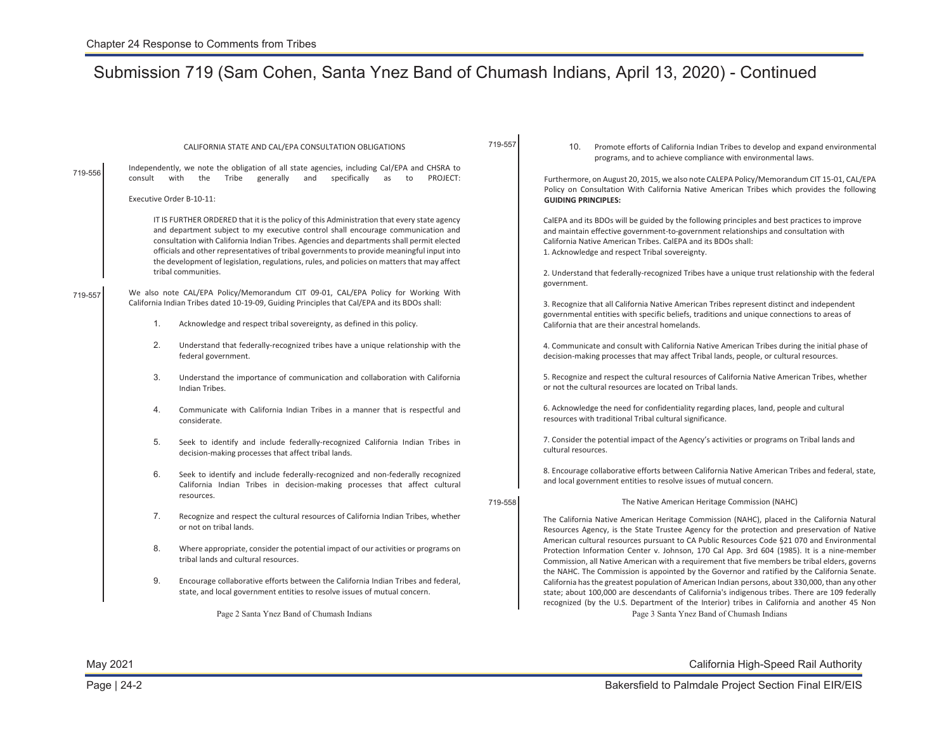| 719-556 | CALIFORNIA STATE AND CAL/EPA CONSULTATION OBLIGATIONS<br>Independently, we note the obligation of all state agencies, including Cal/EPA and CHSRA to<br>with<br>Tribe generally<br>and<br>specifically<br>PROJECT:<br>consult<br>the<br>as<br>to<br>Executive Order B-10-11:<br>IT IS FURTHER ORDERED that it is the policy of this Administration that every state agency<br>and department subject to my executive control shall encourage communication and<br>consultation with California Indian Tribes. Agencies and departments shall permit elected<br>officials and other representatives of tribal governments to provide meaningful input into<br>the development of legislation, regulations, rules, and policies on matters that may affect<br>tribal communities. | 719-557 | Promote efforts of California Indian Tribes to develop and expand environmental<br>10.<br>programs, and to achieve compliance with environmental laws.<br>Furthermore, on August 20, 2015, we also note CALEPA Policy/Memorandum CIT 15-01, CAL/EPA<br>Policy on Consultation With California Native American Tribes which provides the following<br><b>GUIDING PRINCIPLES:</b><br>CalEPA and its BDOs will be guided by the following principles and best practices to improve<br>and maintain effective government-to-government relationships and consultation with<br>California Native American Tribes. CalEPA and its BDOs shall:<br>1. Acknowledge and respect Tribal sovereignty.                               |  |
|---------|---------------------------------------------------------------------------------------------------------------------------------------------------------------------------------------------------------------------------------------------------------------------------------------------------------------------------------------------------------------------------------------------------------------------------------------------------------------------------------------------------------------------------------------------------------------------------------------------------------------------------------------------------------------------------------------------------------------------------------------------------------------------------------|---------|-------------------------------------------------------------------------------------------------------------------------------------------------------------------------------------------------------------------------------------------------------------------------------------------------------------------------------------------------------------------------------------------------------------------------------------------------------------------------------------------------------------------------------------------------------------------------------------------------------------------------------------------------------------------------------------------------------------------------|--|
| 719-557 | We also note CAL/EPA Policy/Memorandum CIT 09-01, CAL/EPA Policy for Working With<br>California Indian Tribes dated 10-19-09, Guiding Principles that Cal/EPA and its BDOs shall:<br>1.<br>Acknowledge and respect tribal sovereignty, as defined in this policy.<br>2.<br>Understand that federally-recognized tribes have a unique relationship with the<br>federal government.<br>3.<br>Understand the importance of communication and collaboration with California<br>Indian Tribes.                                                                                                                                                                                                                                                                                       |         | 2. Understand that federally-recognized Tribes have a unique trust relationship with the federal<br>government.<br>3. Recognize that all California Native American Tribes represent distinct and independent<br>governmental entities with specific beliefs, traditions and unique connections to areas of<br>California that are their ancestral homelands.<br>4. Communicate and consult with California Native American Tribes during the initial phase of<br>decision-making processes that may affect Tribal lands, people, or cultural resources.<br>5. Recognize and respect the cultural resources of California Native American Tribes, whether<br>or not the cultural resources are located on Tribal lands. |  |
|         | 4.<br>Communicate with California Indian Tribes in a manner that is respectful and<br>considerate.                                                                                                                                                                                                                                                                                                                                                                                                                                                                                                                                                                                                                                                                              |         | 6. Acknowledge the need for confidentiality regarding places, land, people and cultural<br>resources with traditional Tribal cultural significance.                                                                                                                                                                                                                                                                                                                                                                                                                                                                                                                                                                     |  |
|         | 5.<br>Seek to identify and include federally-recognized California Indian Tribes in<br>decision-making processes that affect tribal lands.                                                                                                                                                                                                                                                                                                                                                                                                                                                                                                                                                                                                                                      |         | 7. Consider the potential impact of the Agency's activities or programs on Tribal lands and<br>cultural resources.                                                                                                                                                                                                                                                                                                                                                                                                                                                                                                                                                                                                      |  |
|         | 6.<br>Seek to identify and include federally-recognized and non-federally recognized<br>California Indian Tribes in decision-making processes that affect cultural<br>resources.                                                                                                                                                                                                                                                                                                                                                                                                                                                                                                                                                                                                | 719-558 | 8. Encourage collaborative efforts between California Native American Tribes and federal, state,<br>and local government entities to resolve issues of mutual concern.<br>The Native American Heritage Commission (NAHC)                                                                                                                                                                                                                                                                                                                                                                                                                                                                                                |  |
|         | 7.<br>Recognize and respect the cultural resources of California Indian Tribes, whether<br>or not on tribal lands.                                                                                                                                                                                                                                                                                                                                                                                                                                                                                                                                                                                                                                                              |         | The California Native American Heritage Commission (NAHC), placed in the California Natural<br>Resources Agency, is the State Trustee Agency for the protection and preservation of Native                                                                                                                                                                                                                                                                                                                                                                                                                                                                                                                              |  |
|         | 8.<br>Where appropriate, consider the potential impact of our activities or programs on<br>tribal lands and cultural resources.                                                                                                                                                                                                                                                                                                                                                                                                                                                                                                                                                                                                                                                 |         | American cultural resources pursuant to CA Public Resources Code §21 070 and Environmental<br>Protection Information Center v. Johnson, 170 Cal App. 3rd 604 (1985). It is a nine-member<br>Commission, all Native American with a requirement that five members be tribal elders, governs<br>the NAHC. The Commission is appointed by the Governor and ratified by the California Senate.                                                                                                                                                                                                                                                                                                                              |  |
|         | 9.<br>Encourage collaborative efforts between the California Indian Tribes and federal,<br>state, and local government entities to resolve issues of mutual concern.                                                                                                                                                                                                                                                                                                                                                                                                                                                                                                                                                                                                            |         | California has the greatest population of American Indian persons, about 330,000, than any other<br>state; about 100,000 are descendants of California's indigenous tribes. There are 109 federally<br>recognized (by the U.S. Department of the Interior) tribes in California and another 45 Non                                                                                                                                                                                                                                                                                                                                                                                                                      |  |
|         | Page 2 Santa Ynez Band of Chumash Indians                                                                                                                                                                                                                                                                                                                                                                                                                                                                                                                                                                                                                                                                                                                                       |         | Page 3 Santa Ynez Band of Chumash Indians                                                                                                                                                                                                                                                                                                                                                                                                                                                                                                                                                                                                                                                                               |  |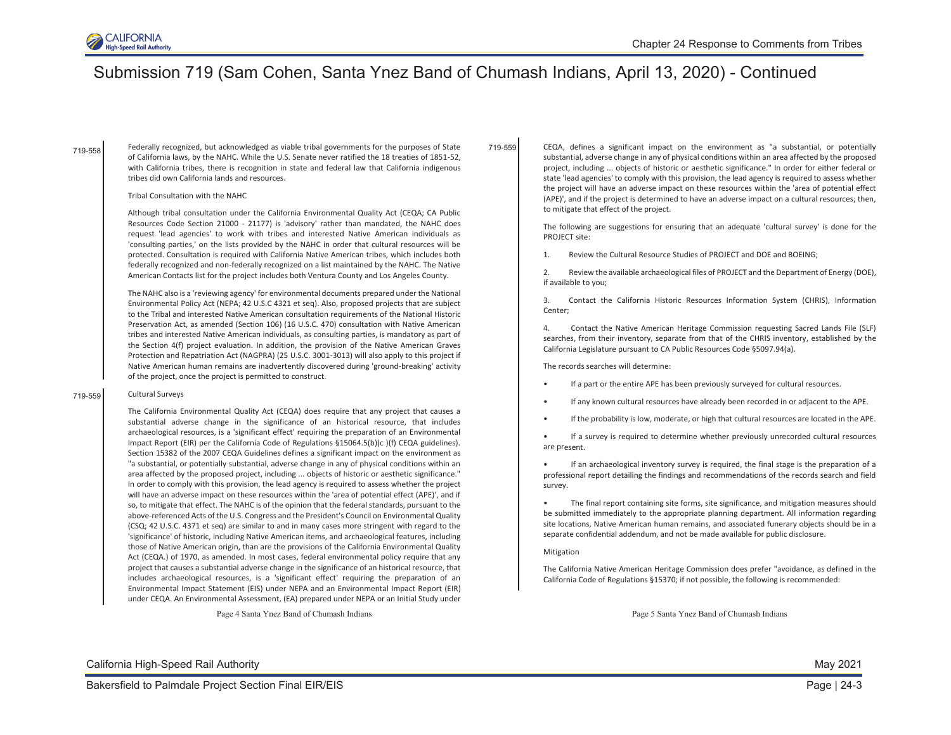

719-558

Federally recognized, but acknowledged as viable tribal governments for the purposes of State of California laws, by the NAHC. While the U.S. Senate never ratified the 18 treaties of 1851-52, with California tribes, there is recognition in state and federal law that California indigenous tribes did own California lands and resources.

#### Tribal Consultation with the NAHC

Although tribal consultation under the California Environmental Quality Act (CEQA; CA Public Resources Code Section 21000 - 21177) is 'advisory' rather than mandated, the NAHC does request 'lead agencies' to work with tribes and interested Native American individuals as 'consulting parties,' on the lists provided by the NAHC in order that cultural resources will be protected. Consultation is required with California Native American tribes, which includes both federally recognized and non-federally recognized on a list maintained by the NAHC. The Native American Contacts list for the project includes both Ventura County and Los Angeles County.

The NAHC also is a 'reviewing agency' for environmental documents prepared under the National Environmental Policy Act (NEPA; 42 U.S.C 4321 et seq). Also, proposed projects that are subject to the Tribal and interested Native American consultation requirements of the National Historic Preservation Act, as amended (Section 106) (16 U.S.C. 470) consultation with Native American tribes and interested Native American individuals, as consulting parties, is mandatory as part of the Section 4(f) project evaluation. In addition, the provision of the Native American Graves Protection and Repatriation Act (NAGPRA) (25 U.S.C. 3001-3013) will also apply to this project if Native American human remains are inadvertently discovered during 'ground-breaking' activity of the project, once the project is permitted to construct.

#### 719-559 Cultural Surveys

The California Environmental Quality Act (CEQA) does require that any project that causes a substantial adverse change in the significance of an historical resource, that includes archaeological resources, is a 'significant effect' requiring the preparation of an Environmental Impact Report (EIR) per the California Code of Regulations §15064.5(b)(c )(f) CEQA guidelines). Section 15382 of the 2007 CEQA Guidelines defines a significant impact on the environment as "a substantial, or potentially substantial, adverse change in any of physical conditions within an area affected by the proposed project, including ... objects of historic or aesthetic significance." In order to comply with this provision, the lead agency is required to assess whether the project will have an adverse impact on these resources within the 'area of potential effect (APE)', and if so, to mitigate that effect. The NAHC is of the opinion that the federal standards, pursuant to the above-referenced Acts of the U.S. Congress and the President's Council on Environmental Quality (CSQ; 42 U.S.C. 4371 et seq) are similar to and in many cases more stringent with regard to the 'significance' of historic, including Native American items, and archaeological features, including those of Native American origin, than are the provisions of the California Environmental Quality Act (CEQA.) of 1970, as amended. In most cases, federal environmental policy require that any project that causes a substantial adverse change in the significance of an historical resource, that includes archaeological resources, is a 'significant effect' requiring the preparation of an Environmental Impact Statement (EIS) under NEPA and an Environmental Impact Report (EIR) under CEQA. An Environmental Assessment, (EA) prepared under NEPA or an Initial Study under

Page 4 Santa Ynez Band of Chumash Indians

CEQA, defines a significant impact on the environment as "a substantial, or potentially substantial, adverse change in any of physical conditions within an area affected by the proposed project, including ... objects of historic or aesthetic significance." In order for either federal or state 'lead agencies' to comply with this provision, the lead agency is required to assess whether the project will have an adverse impact on these resources within the 'area of potential effect (APE)', and if the project is determined to have an adverse impact on a cultural resources; then, to mitigate that effect of the project. 719-559

> The following are suggestions for ensuring that an adequate 'cultural survey' is done for the PROJECT site:

1. Review the Cultural Resource Studies of PROJECT and DOE and BOEING;

2. Review the available archaeological files of PROJECT and the Department of Energy (DOE), if available to you;

3. Contact the California Historic Resources Information System (CHRIS), Information Center;

4. Contact the Native American Heritage Commission requesting Sacred Lands File (SLF) searches, from their inventory, separate from that of the CHRIS inventory, established by the California Legislature pursuant to CA Public Resources Code §5097.94(a).

The records searches will determine:

- If a part or the entire APE has been previously surveyed for cultural resources.
- If any known cultural resources have already been recorded in or adjacent to the APE.
- If the probability is low, moderate, or high that cultural resources are located in the APE.

If a survey is required to determine whether previously unrecorded cultural resources are present.

• If an archaeological inventory survey is required, the final stage is the preparation of a professional report detailing the findings and recommendations of the records search and field survey.

The final report containing site forms, site significance, and mitigation measures should be submitted immediately to the appropriate planning department. All information regarding site locations, Native American human remains, and associated funerary objects should be in a separate confidential addendum, and not be made available for public disclosure.

#### Mitigation

The California Native American Heritage Commission does prefer "avoidance, as defined in the California Code of Regulations §15370; if not possible, the following is recommended:

Page 5 Santa Ynez Band of Chumash Indians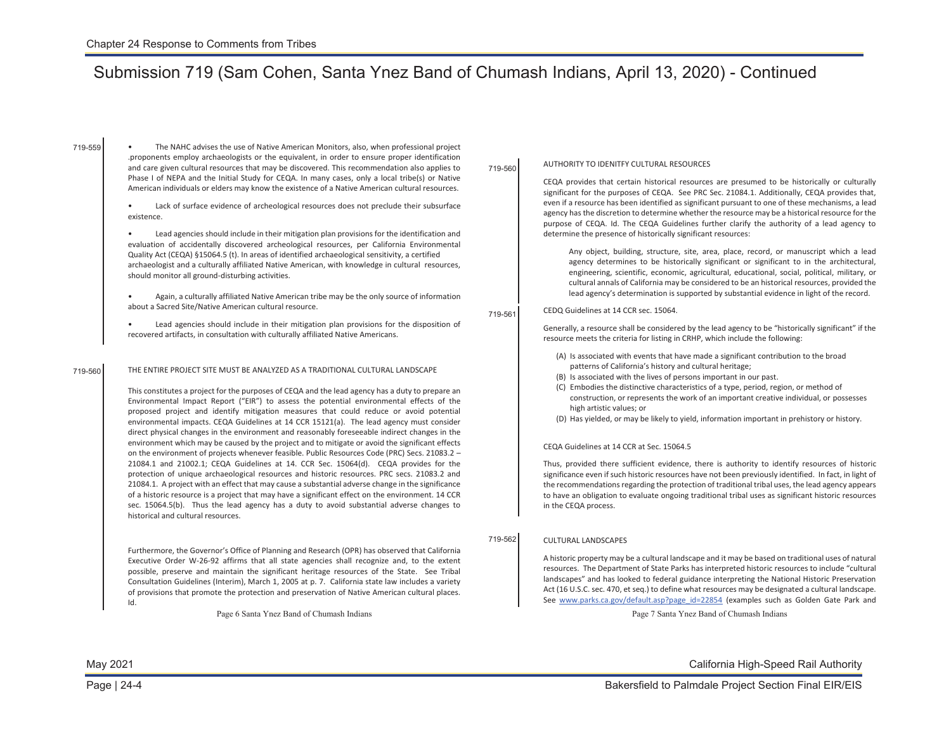719-559

- The NAHC advises the use of Native American Monitors, also, when professional project .proponents employ archaeologists or the equivalent, in order to ensure proper identification and care given cultural resources that may be discovered. This recommendation also applies to Phase I of NEPA and the Initial Study for CEQA. In many cases, only a local tribe(s) or Native American individuals or elders may know the existence of a Native American cultural resources.
- Lack of surface evidence of archeological resources does not preclude their subsurface existence.

• Lead agencies should include in their mitigation plan provisions for the identification and evaluation of accidentally discovered archeological resources, per California Environmental Quality Act (CEQA) §15064.5 (t). In areas of identified archaeological sensitivity, a certified archaeologist and a culturally affiliated Native American, with knowledge in cultural resources, should monitor all ground-disturbing activities.

- Again, a culturally affiliated Native American tribe may be the only source of information about a Sacred Site/Native American cultural resource.
- Lead agencies should include in their mitigation plan provisions for the disposition of recovered artifacts, in consultation with culturally affiliated Native Americans.

#### 719-560 THE ENTIRE PROJECT SITE MUST BE ANALYZED AS A TRADITIONAL CULTURAL LANDSCAPE

This constitutes a project for the purposes of CEQA and the lead agency has a duty to prepare an Environmental Impact Report ("EIR") to assess the potential environmental effects of the proposed project and identify mitigation measures that could reduce or avoid potential environmental impacts. CEQA Guidelines at 14 CCR 15121(a). The lead agency must consider direct physical changes in the environment and reasonably foreseeable indirect changes in the environment which may be caused by the project and to mitigate or avoid the significant effects on the environment of projects whenever feasible. Public Resources Code (PRC) Secs. 21083.2 – 21084.1 and 21002.1; CEQA Guidelines at 14. CCR Sec. 15064(d). CEQA provides for the protection of unique archaeological resources and historic resources. PRC secs. 21083.2 and 21084.1. A project with an effect that may cause a substantial adverse change in the significance of a historic resource is a project that may have a significant effect on the environment. 14 CCR sec. 15064.5(b). Thus the lead agency has a duty to avoid substantial adverse changes to historical and cultural resources.

Furthermore, the Governor's Office of Planning and Research (OPR) has observed that California Executive Order W-26-92 affirms that all state agencies shall recognize and, to the extent possible, preserve and maintain the significant heritage resources of the State. See Tribal Consultation Guidelines (Interim), March 1, 2005 at p. 7. California state law includes a variety of provisions that promote the protection and preservation of Native American cultural places. Id.

Page 6 Santa Ynez Band of Chumash Indians

### 719-560 AUTHORITY TO IDENITFY CULTURAL RESOURCES

CEQA provides that certain historical resources are presumed to be historically or culturally significant for the purposes of CEQA. See PRC Sec. 21084.1. Additionally, CEQA provides that, even if a resource has been identified as significant pursuant to one of these mechanisms, a lead agency has the discretion to determine whether the resource may be a historical resource for the purpose of CEQA. Id. The CEQA Guidelines further clarify the authority of a lead agency to determine the presence of historically significant resources:

Any object, building, structure, site, area, place, record, or manuscript which a lead agency determines to be historically significant or significant to in the architectural, engineering, scientific, economic, agricultural, educational, social, political, military, or cultural annals of California may be considered to be an historical resources, provided the lead agency's determination is supported by substantial evidence in light of the record.

#### 719-561 CEDQ Guidelines at 14 CCR sec. 15064.

Generally, a resource shall be considered by the lead agency to be "historically significant" if the resource meets the criteria for listing in CRHP, which include the following:

- (A) Is associated with events that have made a significant contribution to the broad patterns of California's history and cultural heritage;
- (B) Is associated with the lives of persons important in our past.
- (C) Embodies the distinctive characteristics of a type, period, region, or method of construction, or represents the work of an important creative individual, or possesses high artistic values; or
- (D) Has yielded, or may be likely to yield, information important in prehistory or history.

#### CEQA Guidelines at 14 CCR at Sec. 15064.5

Thus, provided there sufficient evidence, there is authority to identify resources of historic significance even if such historic resources have not been previously identified. In fact, in light of the recommendations regarding the protection of traditional tribal uses, the lead agency appears to have an obligation to evaluate ongoing traditional tribal uses as significant historic resources in the CEQA process.

#### 719-562 CULTURAL LANDSCAPES

A historic property may be a cultural landscape and it may be based on traditional uses of natural resources. The Department of State Parks has interpreted historic resources to include "cultural landscapes" and has looked to federal guidance interpreting the National Historic Preservation Act (16 U.S.C. sec. 470, et seq.) to define what resources may be designated a cultural landscape. See [www.parks.ca.gov/default.asp?page\\_id=22854](http://www.parks.ca.gov/default.asp?page_id=22854) (examples such as Golden Gate Park and

Page 7 Santa Ynez Band of Chumash Indians

California High-Speed Rail Authority

May 2021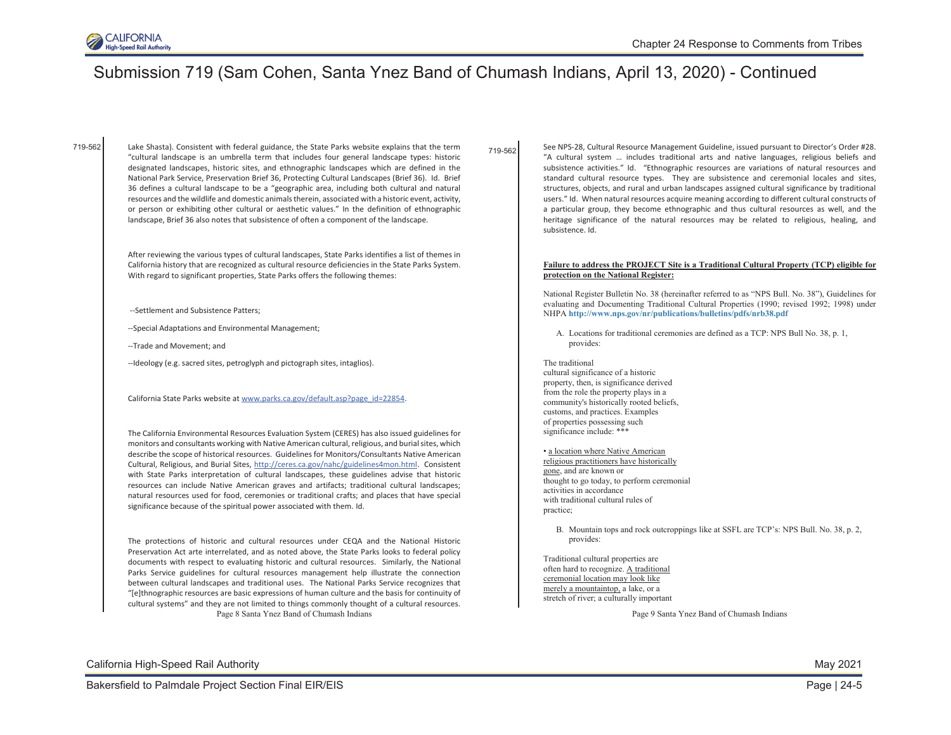

719-562

"cultural landscape is an umbrella term that includes four general landscape types: historic designated landscapes, historic sites, and ethnographic landscapes which are defined in the National Park Service, Preservation Brief 36, Protecting Cultural Landscapes (Brief 36). Id. Brief 36 defines a cultural landscape to be a "geographic area, including both cultural and natural resources and the wildlife and domestic animals therein, associated with a historic event, activity, or person or exhibiting other cultural or aesthetic values." In the definition of ethnographic landscape, Brief 36 also notes that subsistence of often a component of the landscape.

After reviewing the various types of cultural landscapes, State Parks identifies a list of themes in California history that are recognized as cultural resource deficiencies in the State Parks System. With regard to significant properties, State Parks offers the following themes:

- --Settlement and Subsistence Patters;
- --Special Adaptations and Environmental Management;
- --Trade and Movement; and
- --Ideology (e.g. sacred sites, petroglyph and pictograph sites, intaglios).

California State Parks website at [www.parks.ca.gov/default.asp?page\\_id=22854](http://www.parks.ca.gov/default.asp?page_id=22854).

The California Environmental Resources Evaluation System (CERES) has also issued guidelines for monitors and consultants working with Native American cultural, religious, and burial sites, which describe the scope of historical resources. Guidelines for Monitors/Consultants Native American Cultural, Religious, and Burial Sites, [http://ceres.ca.gov/nahc/guidelines4mon.html.](http://ceres.ca.gov/nahc/guidelines4mon.html) Consistent with State Parks interpretation of cultural landscapes, these guidelines advise that historic resources can include Native American graves and artifacts; traditional cultural landscapes; natural resources used for food, ceremonies or traditional crafts; and places that have special significance because of the spiritual power associated with them. Id.

Page 8 Santa Ynez Band of Chumash Indians The protections of historic and cultural resources under CEQA and the National Historic Preservation Act arte interrelated, and as noted above, the State Parks looks to federal policy documents with respect to evaluating historic and cultural resources. Similarly, the National Parks Service guidelines for cultural resources management help illustrate the connection between cultural landscapes and traditional uses. The National Parks Service recognizes that "[e]thnographic resources are basic expressions of human culture and the basis for continuity of cultural systems" and they are not limited to things commonly thought of a cultural resources.

719-562 Lake Shasta). Consistent with federal guidance, the State Parks website explains that the term  $_{710.682}$  See NPS-28, Cultural Resource Management Guideline, issued pursuant to Director's Order #28. "A cultural system … includes traditional arts and native languages, religious beliefs and subsistence activities." Id. "Ethnographic resources are variations of natural resources and standard cultural resource types. They are subsistence and ceremonial locales and sites, structures, objects, and rural and urban landscapes assigned cultural significance by traditional users." Id. When natural resources acquire meaning according to different cultural constructs of a particular group, they become ethnographic and thus cultural resources as well, and the heritage significance of the natural resources may be related to religious, healing, and subsistence. Id.

#### **Failure to address the PROJECT Site is a Traditional Cultural Property (TCP) eligible for protection on the National Register:**

National Register Bulletin No. 38 (hereinafter referred to as "NPS Bull. No. 38"), Guidelines for evaluating and Documenting Traditional Cultural Properties (1990; revised 1992; 1998) under NHPA **<http://www.nps.gov/nr/publications/bulletins/pdfs/nrb38.pdf>**

A. Locations for traditional ceremonies are defined as a TCP: NPS Bull No. 38, p. 1, provides:

The traditional cultural significance of a historic property, then, is significance derived from the role the property plays in a community's historically rooted beliefs, customs, and practices. Examples of properties possessing such significance include: \*\*\*

• a location where Native American religious practitioners have historically gone, and are known or thought to go today, to perform ceremonial activities in accordance with traditional cultural rules of practice;

B. Mountain tops and rock outcroppings like at SSFL are TCP's: NPS Bull. No. 38, p. 2, provides:

Traditional cultural properties are often hard to recognize. A traditional ceremonial location may look like merely a mountaintop, a lake, or a stretch of river; a culturally important

Page 9 Santa Ynez Band of Chumash Indians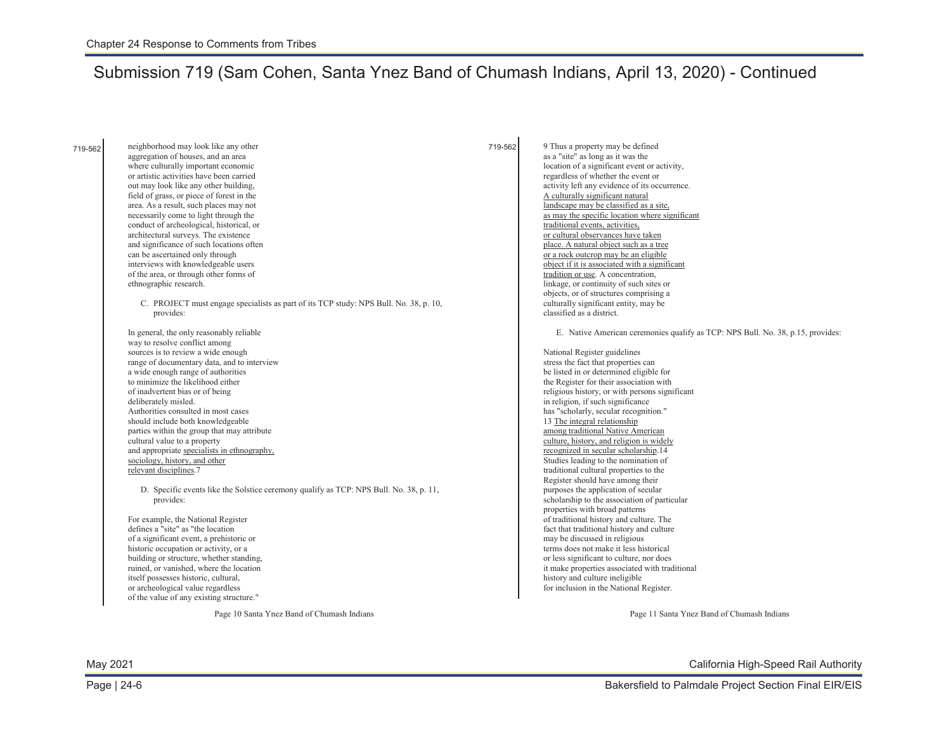neighborhood may look like any other aggregation of houses, and an area where culturally important economic or artistic activities have been carried out may look like any other building, field of grass, or piece of forest in the area. As a result, such places may not necessarily come to light through the conduct of archeological, historical, or architectural surveys. The existence and significance of such locations often can be ascertained only through interviews with knowledgeable users of the area, or through other forms of ethnographic research. C. PROJECT must engage specialists as part of its TCP study: NPS Bull. No. 38, p. 10, provides: In general, the only reasonably reliable way to resolve conflict among sources is to review a wide enough range of documentary data, and to interview a wide enough range of authorities to minimize the likelihood either of inadvertent bias or of being deliberately misled. Authorities consulted in most cases should include both knowledgeable parties within the group that may attribute cultural value to a property and appropriate specialists in ethnography, sociology, history, and other relevant disciplines.7 D. Specific events like the Solstice ceremony qualify as TCP: NPS Bull. No. 38, p. 11, provides: For example, the National Register defines a "site" as "the location of a significant event, a prehistoric or historic occupation or activity, or a building or structure, whether standing, ruined, or vanished, where the location itself possesses historic, cultural, or archeological value regardless of the value of any existing structure." 719-562 9 Thus a property may be defined as a "site" as long as it was the location of a significant event or activity, regardless of whether the event or activity left any evidence of its occurrence. A culturally significant natural landscape may be classified as a site, as may the specific location where significant traditional events, activities, or cultural observances have taken place. A natural object such as a tree or a rock outcrop may be an eligible object if it is associated with a significant tradition or use. A concentration, linkage, or continuity of such sites or objects, or of structures comprising a culturally significant entity, may be classified as a district. E. Native American ceremonies qualify as TCP: NPS Bull. No. 38, p.15, provides: National Register guidelines stress the fact that properties can be listed in or determined eligible for the Register for their association with religious history, or with persons significant in religion, if such significance has "scholarly, secular recognition." 13 The integral relationship among traditional Native American culture, history, and religion is widely recognized in secular scholarship.14 Studies leading to the nomination of traditional cultural properties to the Register should have among their purposes the application of secular scholarship to the association of particular properties with broad patterns of traditional history and culture. The fact that traditional history and culture may be discussed in religious terms does not make it less historical or less significant to culture, nor does it make properties associated with traditional history and culture ineligible for inclusion in the National Register. 719-562

Page 10 Santa Ynez Band of Chumash Indians

Page 11 Santa Ynez Band of Chumash Indians

May 2021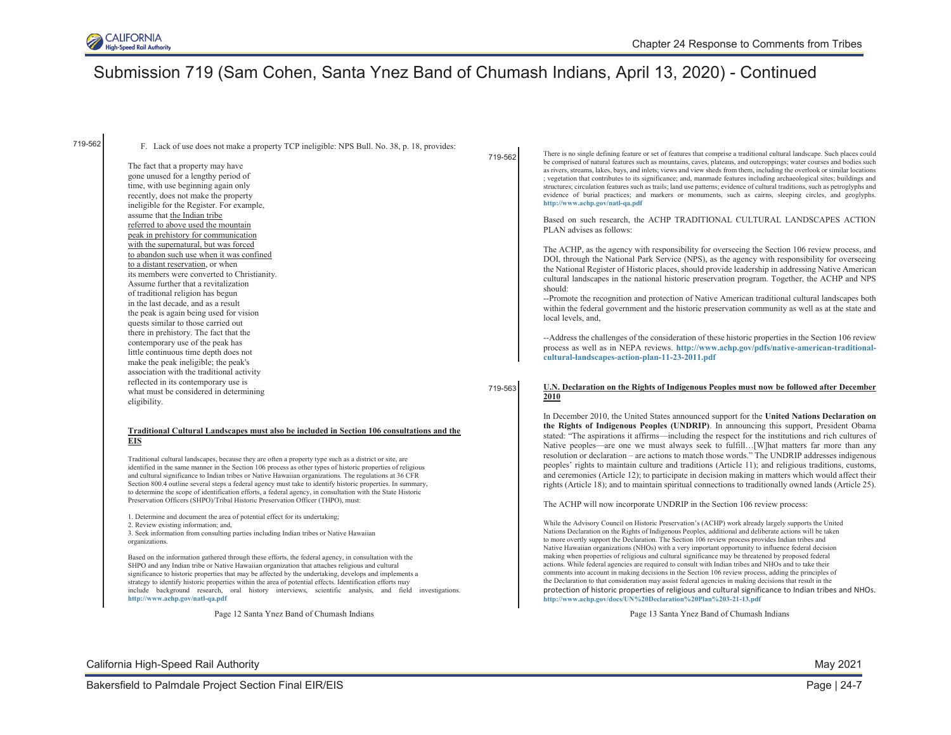

719-562

F. Lack of use does not make a property TCP ineligible: NPS Bull. No. 38, p. 18, provides:

The fact that a property may have gone unused for a lengthy period of time, with use beginning again only recently, does not make the property ineligible for the Register. For example, assume that the Indian tribe referred to above used the mountain peak in prehistory for communication with the supernatural, but was forced to abandon such use when it was confined to a distant reservation, or when its members were converted to Christianity. Assume further that a revitalization of traditional religion has begun in the last decade, and as a result the peak is again being used for vision quests similar to those carried out there in prehistory. The fact that the contemporary use of the peak has little continuous time depth does not make the peak ineligible; the peak's association with the traditional activity reflected in its contemporary use is what must be considered in determining eligibility.

#### **Traditional Cultural Landscapes must also be included in Section 106 consultations and the EIS**

Traditional cultural landscapes, because they are often a property type such as a district or site, are identified in the same manner in the Section 106 process as other types of historic properties of religious and cultural significance to Indian tribes or Native Hawaiian organizations. The regulations at 36 CFR Section 800.4 outline several steps a federal agency must take to identify historic properties. In summary, to determine the scope of identification efforts, a federal agency, in consultation with the State Historic Preservation Officers (SHPO)/Tribal Historic Preservation Officer (THPO), must:

1. Determine and document the area of potential effect for its undertaking;

2. Review existing information; and,

3. Seek information from consulting parties including Indian tribes or Native Hawaiian organizations.

Based on the information gathered through these efforts, the federal agency, in consultation with the SHPO and any Indian tribe or Native Hawaiian organization that attaches religious and cultural significance to historic properties that may be affected by the undertaking, develops and implements a strategy to identify historic properties within the area of potential effects. Identification efforts may include background research, oral history interviews, scientific analysis, and field investigations. **<http://www.achp.gov/natl-qa.pdf>**

Page 12 Santa Ynez Band of Chumash Indians

719-562

There is no single defining feature or set of features that comprise a traditional cultural landscape. Such places could be comprised of natural features such as mountains, caves, plateaus, and outcroppings; water courses and bodies such as rivers, streams, lakes, bays, and inlets; views and view sheds from them, including the overlook or similar locations ; vegetation that contributes to its significance; and, manmade features including archaeological sites; buildings and structures; circulation features such as trails; land use patterns; evidence of cultural traditions, such as petroglyphs and evidence of burial practices; and markers or monuments, such as cairns, sleeping circles, and geoglyphs. **<http://www.achp.gov/natl-qa.pdf>**

Based on such research, the ACHP TRADITIONAL CULTURAL LANDSCAPES ACTION PLAN advises as follows:

The ACHP, as the agency with responsibility for overseeing the Section 106 review process, and DOI, through the National Park Service (NPS), as the agency with responsibility for overseeing the National Register of Historic places, should provide leadership in addressing Native American cultural landscapes in the national historic preservation program. Together, the ACHP and NPS should:

--Promote the recognition and protection of Native American traditional cultural landscapes both within the federal government and the historic preservation community as well as at the state and local levels, and,

--Address the challenges of the consideration of these historic properties in the Section 106 review process as well as in NEPA reviews. **[http://www.achp.gov/pdfs/native-american-traditional](http://www.achp.gov/pdfs/native-american-traditional-cultural-landscapes-action-plan-11-23-2011.pdf)[cultural-landscapes-action-plan-11-23-2011.pdf](http://www.achp.gov/pdfs/native-american-traditional-cultural-landscapes-action-plan-11-23-2011.pdf)**

#### 719-563 **U.N. Declaration on the Rights of Indigenous Peoples must now be followed after December 2010**

In December 2010, the United States announced support for the **United Nations Declaration on the Rights of Indigenous Peoples (UNDRIP)**. In announcing this support, President Obama stated: "The aspirations it affirms—including the respect for the institutions and rich cultures of Native peoples—are one we must always seek to fulfill…[W]hat matters far more than any resolution or declaration – are actions to match those words." The UNDRIP addresses indigenous peoples' rights to maintain culture and traditions (Article 11); and religious traditions, customs, and ceremonies (Article 12); to participate in decision making in matters which would affect their rights (Article 18); and to maintain spiritual connections to traditionally owned lands (Article 25).

The ACHP will now incorporate UNDRIP in the Section 106 review process:

While the Advisory Council on Historic Preservation's (ACHP) work already largely supports the United Nations Declaration on the Rights of Indigenous Peoples, additional and deliberate actions will be taken to more overtly support the Declaration. The Section 106 review process provides Indian tribes and Native Hawaiian organizations (NHOs) with a very important opportunity to influence federal decision making when properties of religious and cultural significance may be threatened by proposed federal actions. While federal agencies are required to consult with Indian tribes and NHOs and to take their comments into account in making decisions in the Section 106 review process, adding the principles of the Declaration to that consideration may assist federal agencies in making decisions that result in the protection of historic properties of religious and cultural significance to Indian tribes and NHOs. **<http://www.achp.gov/docs/UN%20Declaration%20Plan%203-21-13.pdf>**

Page 13 Santa Ynez Band of Chumash Indians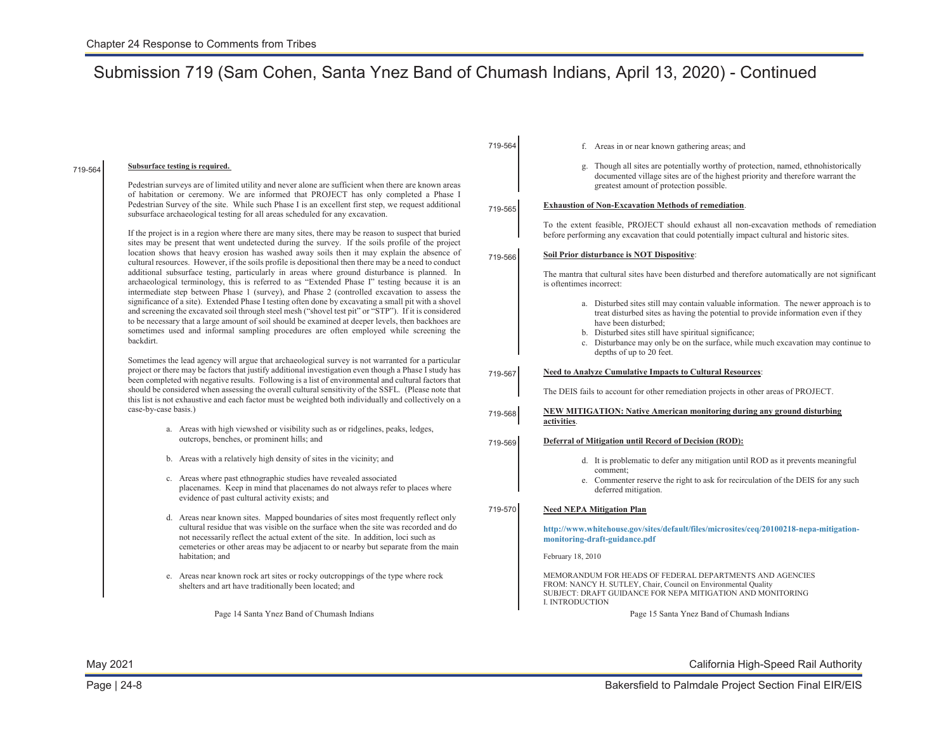719-564

| 719-564 | Subsurface testing is required.<br>Pedestrian surveys are of limited utility and never alone are sufficient when there are known areas                                                                                                                                                                                                                                                                                                                                                                                                                                                                                                                                                                                                                                                                                                                                                                                                                                                                                                                                                                                                                                                                                                                                                                                                                                                                                                                                                                                                                                                                                                                                                                       |         | g. Though all sites are potentially worthy of protection, named, ethnohistorically<br>documented village sites are of the highest priority and therefore warrant the<br>greatest amount of protection possible.                                                                                                                                                           |
|---------|--------------------------------------------------------------------------------------------------------------------------------------------------------------------------------------------------------------------------------------------------------------------------------------------------------------------------------------------------------------------------------------------------------------------------------------------------------------------------------------------------------------------------------------------------------------------------------------------------------------------------------------------------------------------------------------------------------------------------------------------------------------------------------------------------------------------------------------------------------------------------------------------------------------------------------------------------------------------------------------------------------------------------------------------------------------------------------------------------------------------------------------------------------------------------------------------------------------------------------------------------------------------------------------------------------------------------------------------------------------------------------------------------------------------------------------------------------------------------------------------------------------------------------------------------------------------------------------------------------------------------------------------------------------------------------------------------------------|---------|---------------------------------------------------------------------------------------------------------------------------------------------------------------------------------------------------------------------------------------------------------------------------------------------------------------------------------------------------------------------------|
|         | of habitation or ceremony. We are informed that PROJECT has only completed a Phase I<br>Pedestrian Survey of the site. While such Phase I is an excellent first step, we request additional<br>subsurface archaeological testing for all areas scheduled for any excavation.                                                                                                                                                                                                                                                                                                                                                                                                                                                                                                                                                                                                                                                                                                                                                                                                                                                                                                                                                                                                                                                                                                                                                                                                                                                                                                                                                                                                                                 | 719-565 | Exhaustion of Non-Excavation Methods of remediation.                                                                                                                                                                                                                                                                                                                      |
|         | If the project is in a region where there are many sites, there may be reason to suspect that buried<br>sites may be present that went undetected during the survey. If the soils profile of the project<br>location shows that heavy erosion has washed away soils then it may explain the absence of<br>cultural resources. However, if the soils profile is depositional then there may be a need to conduct<br>additional subsurface testing, particularly in areas where ground disturbance is planned. In<br>archaeological terminology, this is referred to as "Extended Phase I" testing because it is an<br>intermediate step between Phase 1 (survey), and Phase 2 (controlled excavation to assess the<br>significance of a site). Extended Phase I testing often done by excavating a small pit with a shovel<br>and screening the excavated soil through steel mesh ("shovel test pit" or "STP"). If it is considered<br>to be necessary that a large amount of soil should be examined at deeper levels, then backhoes are<br>sometimes used and informal sampling procedures are often employed while screening the<br>backdirt.<br>Sometimes the lead agency will argue that archaeological survey is not warranted for a particular<br>project or there may be factors that justify additional investigation even though a Phase I study has<br>been completed with negative results. Following is a list of environmental and cultural factors that<br>should be considered when assessing the overall cultural sensitivity of the SSFL. (Please note that<br>this list is not exhaustive and each factor must be weighted both individually and collectively on a<br>case-by-case basis.) |         | To the extent feasible, PROJECT should exhaust all non-excavation methods of remediation<br>before performing any excavation that could potentially impact cultural and historic sites.                                                                                                                                                                                   |
|         |                                                                                                                                                                                                                                                                                                                                                                                                                                                                                                                                                                                                                                                                                                                                                                                                                                                                                                                                                                                                                                                                                                                                                                                                                                                                                                                                                                                                                                                                                                                                                                                                                                                                                                              | 719-566 | Soil Prior disturbance is NOT Dispositive:                                                                                                                                                                                                                                                                                                                                |
|         |                                                                                                                                                                                                                                                                                                                                                                                                                                                                                                                                                                                                                                                                                                                                                                                                                                                                                                                                                                                                                                                                                                                                                                                                                                                                                                                                                                                                                                                                                                                                                                                                                                                                                                              |         | The mantra that cultural sites have been disturbed and therefore automatically are not significant<br>is oftentimes incorrect:                                                                                                                                                                                                                                            |
|         |                                                                                                                                                                                                                                                                                                                                                                                                                                                                                                                                                                                                                                                                                                                                                                                                                                                                                                                                                                                                                                                                                                                                                                                                                                                                                                                                                                                                                                                                                                                                                                                                                                                                                                              |         | a. Disturbed sites still may contain valuable information. The newer approach is to<br>treat disturbed sites as having the potential to provide information even if they<br>have been disturbed;<br>b. Disturbed sites still have spiritual significance;<br>c. Disturbance may only be on the surface, while much excavation may continue to<br>depths of up to 20 feet. |
|         |                                                                                                                                                                                                                                                                                                                                                                                                                                                                                                                                                                                                                                                                                                                                                                                                                                                                                                                                                                                                                                                                                                                                                                                                                                                                                                                                                                                                                                                                                                                                                                                                                                                                                                              | 719-567 | <b>Need to Analyze Cumulative Impacts to Cultural Resources:</b><br>The DEIS fails to account for other remediation projects in other areas of PROJECT.                                                                                                                                                                                                                   |
|         |                                                                                                                                                                                                                                                                                                                                                                                                                                                                                                                                                                                                                                                                                                                                                                                                                                                                                                                                                                                                                                                                                                                                                                                                                                                                                                                                                                                                                                                                                                                                                                                                                                                                                                              | 719-568 | <b>NEW MITIGATION: Native American monitoring during any ground disturbing</b><br>activities.                                                                                                                                                                                                                                                                             |
|         | a. Areas with high viewshed or visibility such as or ridgelines, peaks, ledges,<br>outcrops, benches, or prominent hills; and                                                                                                                                                                                                                                                                                                                                                                                                                                                                                                                                                                                                                                                                                                                                                                                                                                                                                                                                                                                                                                                                                                                                                                                                                                                                                                                                                                                                                                                                                                                                                                                | 719-569 | Deferral of Mitigation until Record of Decision (ROD):                                                                                                                                                                                                                                                                                                                    |
|         | b. Areas with a relatively high density of sites in the vicinity; and                                                                                                                                                                                                                                                                                                                                                                                                                                                                                                                                                                                                                                                                                                                                                                                                                                                                                                                                                                                                                                                                                                                                                                                                                                                                                                                                                                                                                                                                                                                                                                                                                                        |         | d. It is problematic to defer any mitigation until ROD as it prevents meaningful<br>comment;                                                                                                                                                                                                                                                                              |
|         | c. Areas where past ethnographic studies have revealed associated<br>placenames. Keep in mind that placenames do not always refer to places where<br>evidence of past cultural activity exists; and                                                                                                                                                                                                                                                                                                                                                                                                                                                                                                                                                                                                                                                                                                                                                                                                                                                                                                                                                                                                                                                                                                                                                                                                                                                                                                                                                                                                                                                                                                          |         | e. Commenter reserve the right to ask for recirculation of the DEIS for any such<br>deferred mitigation.                                                                                                                                                                                                                                                                  |
|         | d. Areas near known sites. Mapped boundaries of sites most frequently reflect only<br>cultural residue that was visible on the surface when the site was recorded and do<br>not necessarily reflect the actual extent of the site. In addition, loci such as<br>cemeteries or other areas may be adjacent to or nearby but separate from the main<br>habitation; and                                                                                                                                                                                                                                                                                                                                                                                                                                                                                                                                                                                                                                                                                                                                                                                                                                                                                                                                                                                                                                                                                                                                                                                                                                                                                                                                         | 719-570 | <b>Need NEPA Mitigation Plan</b><br>http://www.whitehouse.gov/sites/default/files/microsites/ceq/20100218-nepa-mitigation-<br>monitoring-draft-guidance.pdf<br>February 18, 2010                                                                                                                                                                                          |
|         | e. Areas near known rock art sites or rocky outcroppings of the type where rock<br>shelters and art have traditionally been located; and                                                                                                                                                                                                                                                                                                                                                                                                                                                                                                                                                                                                                                                                                                                                                                                                                                                                                                                                                                                                                                                                                                                                                                                                                                                                                                                                                                                                                                                                                                                                                                     |         | MEMORANDUM FOR HEADS OF FEDERAL DEPARTMENTS AND AGENCIES<br>FROM: NANCY H. SUTLEY, Chair, Council on Environmental Quality<br>SUBJECT: DRAFT GUIDANCE FOR NEPA MITIGATION AND MONITORING<br>I. INTRODUCTION                                                                                                                                                               |
|         | Page 14 Santa Ynez Band of Chumash Indians                                                                                                                                                                                                                                                                                                                                                                                                                                                                                                                                                                                                                                                                                                                                                                                                                                                                                                                                                                                                                                                                                                                                                                                                                                                                                                                                                                                                                                                                                                                                                                                                                                                                   |         | Page 15 Santa Ynez Band of Chumash Indians                                                                                                                                                                                                                                                                                                                                |
|         |                                                                                                                                                                                                                                                                                                                                                                                                                                                                                                                                                                                                                                                                                                                                                                                                                                                                                                                                                                                                                                                                                                                                                                                                                                                                                                                                                                                                                                                                                                                                                                                                                                                                                                              |         |                                                                                                                                                                                                                                                                                                                                                                           |

May 2021

California High-Speed Rail Authority

f. Areas in or near known gathering areas; and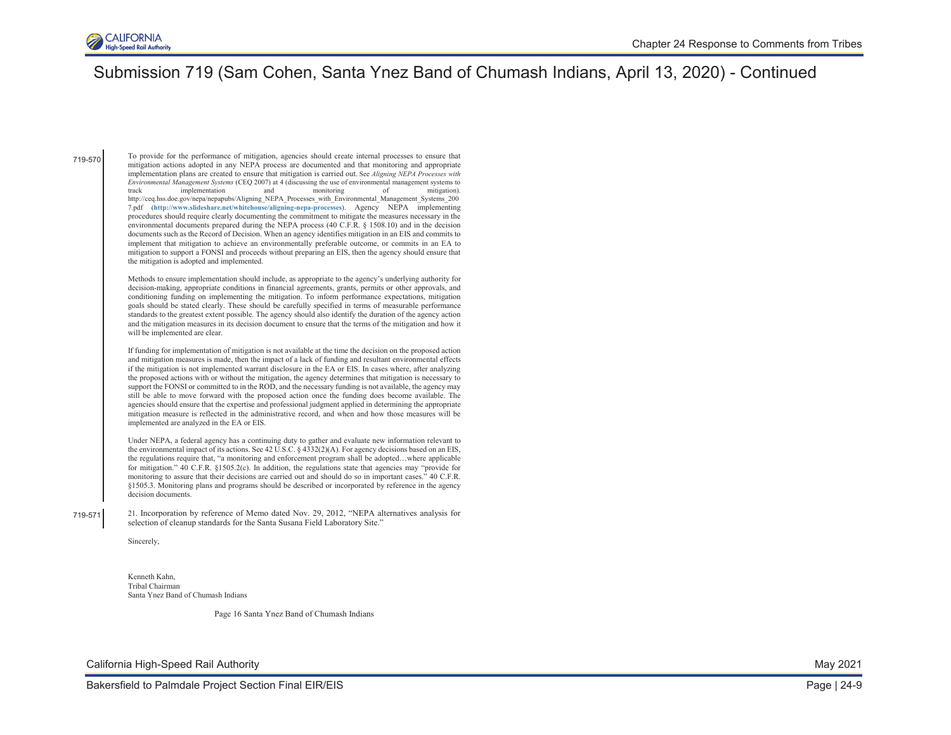

719-570 To provide for the performance of mitigation, agencies should create internal processes to ensure that mitigation actions adopted in any NEPA process are documented and that monitoring and appropriate implementation plans are created to ensure that mitigation is carried out. See *Aligning NEPA Processes with Environmental Management Systems* (CEQ 2007) at 4 (discussing the use of environmental management systems to track implementation and monitoring of mitigation). [http://ceq.hss.doe.gov/nepa/nepapubs/Aligning\\_NEPA\\_Processes\\_with\\_Environmental\\_Management\\_Systems\\_200](http://ceq.hss.doe.gov/nepa/nepapubs/Aligning_NEPA_Processes_with_Environmental_Management_Systems_2007.pdf) [7.pdf](http://ceq.hss.doe.gov/nepa/nepapubs/Aligning_NEPA_Processes_with_Environmental_Management_Systems_2007.pdf) (**<http://www.slideshare.net/whitehouse/aligning-nepa-processes>**). Agency NEPA implementing procedures should require clearly documenting the commitment to mitigate the measures necessary in the environmental documents prepared during the NEPA process (40 C.F.R. § 1508.10) and in the decision documents such as the Record of Decision. When an agency identifies mitigation in an EIS and commits to implement that mitigation to achieve an environmentally preferable outcome, or commits in an EA to mitigation to support a FONSI and proceeds without preparing an EIS, then the agency should ensure that the mitigation is adopted and implemented.

> Methods to ensure implementation should include, as appropriate to the agency's underlying authority for decision-making, appropriate conditions in financial agreements, grants, permits or other approvals, and conditioning funding on implementing the mitigation. To inform performance expectations, mitigation goals should be stated clearly. These should be carefully specified in terms of measurable performance standards to the greatest extent possible. The agency should also identify the duration of the agency action and the mitigation measures in its decision document to ensure that the terms of the mitigation and how it will be implemented are clear.

> If funding for implementation of mitigation is not available at the time the decision on the proposed action and mitigation measures is made, then the impact of a lack of funding and resultant environmental effects if the mitigation is not implemented warrant disclosure in the EA or EIS. In cases where, after analyzing the proposed actions with or without the mitigation, the agency determines that mitigation is necessary to support the FONSI or committed to in the ROD, and the necessary funding is not available, the agency may still be able to move forward with the proposed action once the funding does become available. The agencies should ensure that the expertise and professional judgment applied in determining the appropriate mitigation measure is reflected in the administrative record, and when and how those measures will be implemented are analyzed in the EA or EIS.

> Under NEPA, a federal agency has a continuing duty to gather and evaluate new information relevant to the environmental impact of its actions. See 42 U.S.C. § 4332(2)(A). For agency decisions based on an EIS, the regulations require that, "a monitoring and enforcement program shall be adopted…where applicable for mitigation." 40 C.F.R. §1505.2(c). In addition, the regulations state that agencies may "provide for monitoring to assure that their decisions are carried out and should do so in important cases." 40 C.F.R. §1505.3. Monitoring plans and programs should be described or incorporated by reference in the agency decision documents.

719-571 21. Incorporation by reference of Memo dated Nov. 29, 2012, "NEPA alternatives analysis for selection of cleanup standards for the Santa Susana Field Laboratory Site."

Sincerely,

Kenneth Kahn, Tribal Chairman Santa Ynez Band of Chumash Indians

Page 16 Santa Ynez Band of Chumash Indians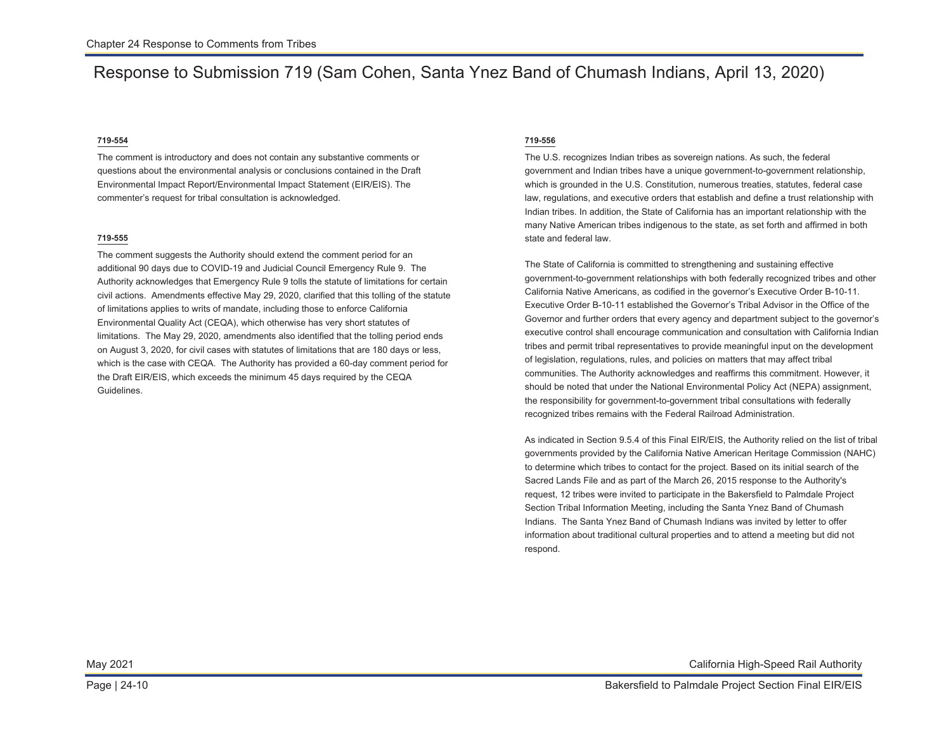#### **719-554**

The comment is introductory and does not contain any substantive comments or questions about the environmental analysis or conclusions contained in the Draft Environmental Impact Report/Environmental Impact Statement (EIR/EIS). The commenter's request for tribal consultation is acknowledged.

#### **719-555**

The comment suggests the Authority should extend the comment period for an additional 90 days due to COVID-19 and Judicial Council Emergency Rule 9. The Authority acknowledges that Emergency Rule 9 tolls the statute of limitations for certain civil actions. Amendments effective May 29, 2020, clarified that this tolling of the statute of limitations applies to writs of mandate, including those to enforce California Environmental Quality Act (CEQA), which otherwise has very short statutes of limitations. The May 29, 2020, amendments also identified that the tolling period ends on August 3, 2020, for civil cases with statutes of limitations that are 180 days or less, which is the case with CEQA. The Authority has provided a 60-day comment period for the Draft EIR/EIS, which exceeds the minimum 45 days required by the CEQA Guidelines.

#### **719-556**

The U.S. recognizes Indian tribes as sovereign nations. As such, the federal government and Indian tribes have a unique government-to-government relationship, which is grounded in the U.S. Constitution, numerous treaties, statutes, federal case law, regulations, and executive orders that establish and define a trust relationship with Indian tribes. In addition, the State of California has an important relationship with the many Native American tribes indigenous to the state, as set forth and affirmed in both state and federal law.

The State of California is committed to strengthening and sustaining effective government-to-government relationships with both federally recognized tribes and other California Native Americans, as codified in the governor's Executive Order B-10-11. Executive Order B-10-11 established the Governor's Tribal Advisor in the Office of the Governor and further orders that every agency and department subject to the governor's executive control shall encourage communication and consultation with California Indian tribes and permit tribal representatives to provide meaningful input on the development of legislation, regulations, rules, and policies on matters that may affect tribal communities. The Authority acknowledges and reaffirms this commitment. However, it should be noted that under the National Environmental Policy Act (NEPA) assignment, the responsibility for government-to-government tribal consultations with federally recognized tribes remains with the Federal Railroad Administration.

As indicated in Section 9.5.4 of this Final EIR/EIS, the Authority relied on the list of tribal governments provided by the California Native American Heritage Commission (NAHC) to determine which tribes to contact for the project. Based on its initial search of the Sacred Lands File and as part of the March 26, 2015 response to the Authority's request, 12 tribes were invited to participate in the Bakersfield to Palmdale Project Section Tribal Information Meeting, including the Santa Ynez Band of Chumash Indians. The Santa Ynez Band of Chumash Indians was invited by letter to offer information about traditional cultural properties and to attend a meeting but did not respond.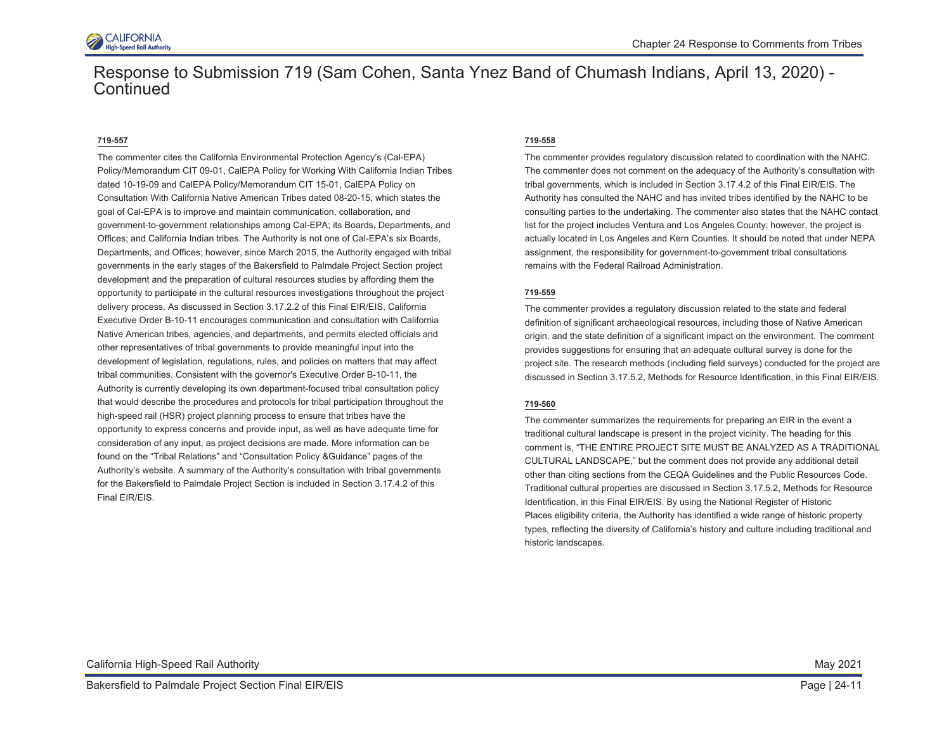

#### **719-557**

The commenter cites the California Environmental Protection Agency's (Cal-EPA) Policy/Memorandum CIT 09-01, CalEPA Policy for Working With California Indian Tribes dated 10-19-09 and CalEPA Policy/Memorandum CIT 15-01, CalEPA Policy on Consultation With California Native American Tribes dated 08-20-15, which states the goal of Cal-EPA is to improve and maintain communication, collaboration, and government-to-government relationships among Cal-EPA; its Boards, Departments, and Offices; and California Indian tribes. The Authority is not one of Cal-EPA's six Boards, Departments, and Offices; however, since March 2015, the Authority engaged with tribal governments in the early stages of the Bakersfield to Palmdale Project Section project development and the preparation of cultural resources studies by affording them the opportunity to participate in the cultural resources investigations throughout the project delivery process. As discussed in Section 3.17.2.2 of this Final EIR/EIS, California Executive Order B-10-11 encourages communication and consultation with California Native American tribes, agencies, and departments, and permits elected officials and other representatives of tribal governments to provide meaningful input into the development of legislation, regulations, rules, and policies on matters that may affect tribal communities. Consistent with the governor's Executive Order B-10-11, the Authority is currently developing its own department-focused tribal consultation policy that would describe the procedures and protocols for tribal participation throughout the high-speed rail (HSR) project planning process to ensure that tribes have the opportunity to express concerns and provide input, as well as have adequate time for consideration of any input, as project decisions are made. More information can be found on the "Tribal Relations" and "Consultation Policy &Guidance" pages of the Authority's website. A summary of the Authority's consultation with tribal governments for the Bakersfield to Palmdale Project Section is included in Section 3.17.4.2 of this Final EIR/EIS.

#### **719-558**

The commenter provides regulatory discussion related to coordination with the NAHC. The commenter does not comment on the adequacy of the Authority's consultation with tribal governments, which is included in Section 3.17.4.2 of this Final EIR/EIS. The Authority has consulted the NAHC and has invited tribes identified by the NAHC to be consulting parties to the undertaking. The commenter also states that the NAHC contact list for the project includes Ventura and Los Angeles County; however, the project is actually located in Los Angeles and Kern Counties. It should be noted that under NEPA assignment, the responsibility for government-to-government tribal consultations remains with the Federal Railroad Administration.

#### **719-559**

The commenter provides a regulatory discussion related to the state and federal definition of significant archaeological resources, including those of Native American origin, and the state definition of a significant impact on the environment. The comment provides suggestions for ensuring that an adequate cultural survey is done for the project site. The research methods (including field surveys) conducted for the project are discussed in Section 3.17.5.2, Methods for Resource Identification, in this Final EIR/EIS.

#### **719-560**

The commenter summarizes the requirements for preparing an EIR in the event a traditional cultural landscape is present in the project vicinity. The heading for this comment is, "THE ENTIRE PROJECT SITE MUST BE ANALYZED AS A TRADITIONAL CULTURAL LANDSCAPE," but the comment does not provide any additional detail other than citing sections from the CEQA Guidelines and the Public Resources Code. Traditional cultural properties are discussed in Section 3.17.5.2, Methods for Resource Identification, in this Final EIR/EIS. By using the National Register of Historic Places eligibility criteria, the Authority has identified a wide range of historic property types, reflecting the diversity of California's history and culture including traditional and historic landscapes.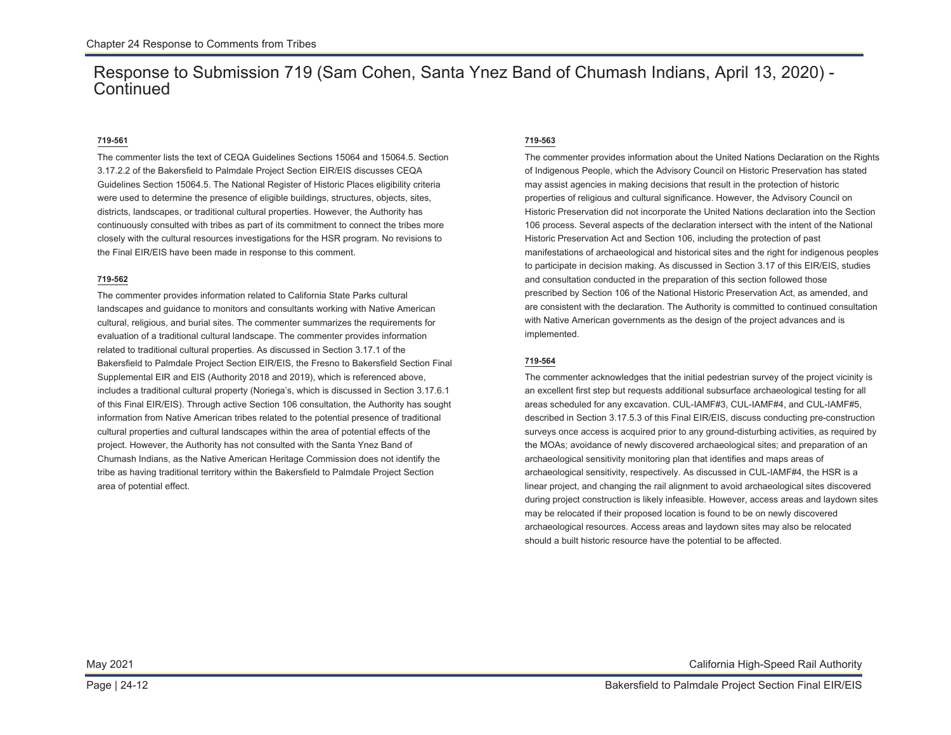### **719-561**

The commenter lists the text of CEQA Guidelines Sections 15064 and 15064.5. Section 3.17.2.2 of the Bakersfield to Palmdale Project Section EIR/EIS discusses CEQA Guidelines Section 15064.5. The National Register of Historic Places eligibility criteria were used to determine the presence of eligible buildings, structures, objects, sites, districts, landscapes, or traditional cultural properties. However, the Authority has continuously consulted with tribes as part of its commitment to connect the tribes more closely with the cultural resources investigations for the HSR program. No revisions to the Final EIR/EIS have been made in response to this comment.

### **719-562**

The commenter provides information related to California State Parks cultural landscapes and guidance to monitors and consultants working with Native American cultural, religious, and burial sites. The commenter summarizes the requirements for evaluation of a traditional cultural landscape. The commenter provides information related to traditional cultural properties. As discussed in Section 3.17.1 of the Bakersfield to Palmdale Project Section EIR/EIS, the Fresno to Bakersfield Section Final Supplemental EIR and EIS (Authority 2018 and 2019), which is referenced above, includes a traditional cultural property (Noriega's, which is discussed in Section 3.17.6.1 of this Final EIR/EIS). Through active Section 106 consultation, the Authority has sought information from Native American tribes related to the potential presence of traditional cultural properties and cultural landscapes within the area of potential effects of the project. However, the Authority has not consulted with the Santa Ynez Band of Chumash Indians, as the Native American Heritage Commission does not identify the tribe as having traditional territory within the Bakersfield to Palmdale Project Section area of potential effect.

#### **719-563**

The commenter provides information about the United Nations Declaration on the Rights of Indigenous People, which the Advisory Council on Historic Preservation has stated may assist agencies in making decisions that result in the protection of historic properties of religious and cultural significance. However, the Advisory Council on Historic Preservation did not incorporate the United Nations declaration into the Section 106 process. Several aspects of the declaration intersect with the intent of the National Historic Preservation Act and Section 106, including the protection of past manifestations of archaeological and historical sites and the right for indigenous peoples to participate in decision making. As discussed in Section 3.17 of this EIR/EIS, studies and consultation conducted in the preparation of this section followed those prescribed by Section 106 of the National Historic Preservation Act, as amended, and are consistent with the declaration. The Authority is committed to continued consultation with Native American governments as the design of the project advances and is implemented.

### **719-564**

The commenter acknowledges that the initial pedestrian survey of the project vicinity is an excellent first step but requests additional subsurface archaeological testing for all areas scheduled for any excavation. CUL-IAMF#3, CUL-IAMF#4, and CUL-IAMF#5, described in Section 3.17.5.3 of this Final EIR/EIS, discuss conducting pre-construction surveys once access is acquired prior to any ground-disturbing activities, as required by the MOAs; avoidance of newly discovered archaeological sites; and preparation of an archaeological sensitivity monitoring plan that identifies and maps areas of archaeological sensitivity, respectively. As discussed in CUL-IAMF#4, the HSR is a linear project, and changing the rail alignment to avoid archaeological sites discovered during project construction is likely infeasible. However, access areas and laydown sites may be relocated if their proposed location is found to be on newly discovered archaeological resources. Access areas and laydown sites may also be relocated should a built historic resource have the potential to be affected.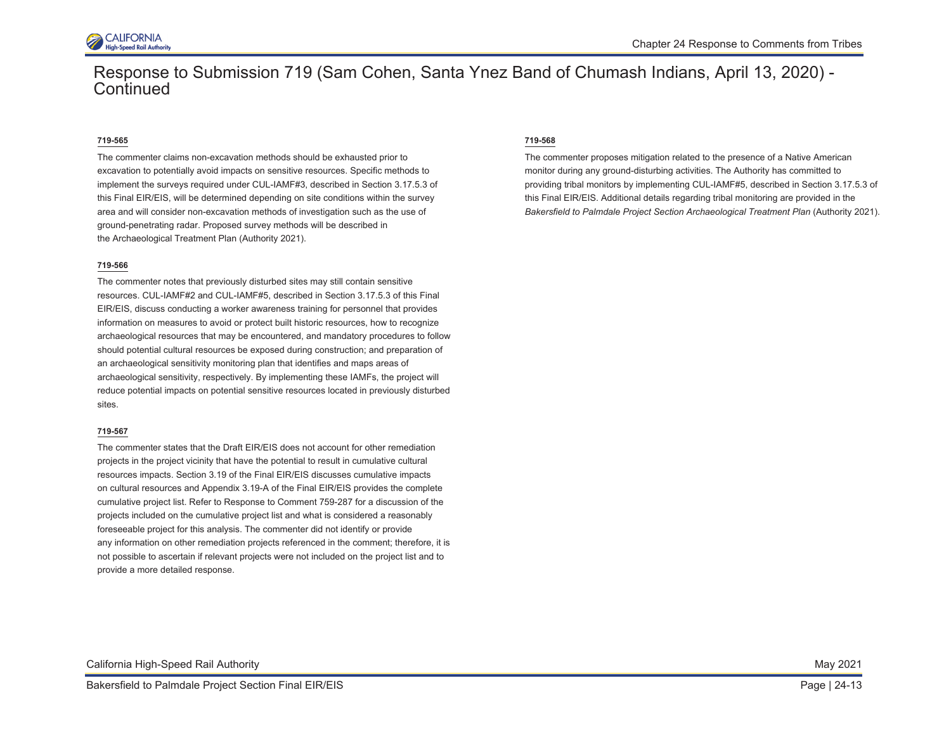

#### **719-565**

The commenter claims non-excavation methods should be exhausted prior to excavation to potentially avoid impacts on sensitive resources. Specific methods to implement the surveys required under CUL-IAMF#3, described in Section 3.17.5.3 of this Final EIR/EIS, will be determined depending on site conditions within the survey area and will consider non-excavation methods of investigation such as the use of ground-penetrating radar. Proposed survey methods will be described in the Archaeological Treatment Plan (Authority 2021).

#### **719-566**

The commenter notes that previously disturbed sites may still contain sensitive resources. CUL-IAMF#2 and CUL-IAMF#5, described in Section 3.17.5.3 of this Final EIR/EIS, discuss conducting a worker awareness training for personnel that provides information on measures to avoid or protect built historic resources, how to recognize archaeological resources that may be encountered, and mandatory procedures to follow should potential cultural resources be exposed during construction; and preparation of an archaeological sensitivity monitoring plan that identifies and maps areas of archaeological sensitivity, respectively. By implementing these IAMFs, the project will reduce potential impacts on potential sensitive resources located in previously disturbed sites.

#### **719-567**

The commenter states that the Draft EIR/EIS does not account for other remediation projects in the project vicinity that have the potential to result in cumulative cultural resources impacts. Section 3.19 of the Final EIR/EIS discusses cumulative impacts on cultural resources and Appendix 3.19-A of the Final EIR/EIS provides the complete cumulative project list. Refer to Response to Comment 759-287 for a discussion of the projects included on the cumulative project list and what is considered a reasonably foreseeable project for this analysis. The commenter did not identify or provide any information on other remediation projects referenced in the comment; therefore, it is not possible to ascertain if relevant projects were not included on the project list and to provide a more detailed response.

### **719-568**

The commenter proposes mitigation related to the presence of a Native American monitor during any ground-disturbing activities. The Authority has committed to providing tribal monitors by implementing CUL-IAMF#5, described in Section 3.17.5.3 of this Final EIR/EIS. Additional details regarding tribal monitoring are provided in the *Bakersfield to Palmdale Project Section Archaeological Treatment Plan* (Authority 2021).